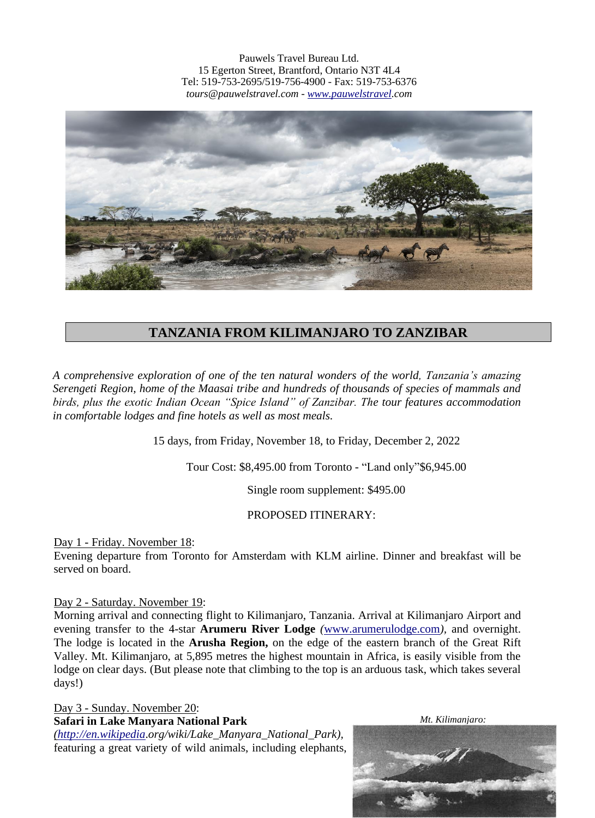Pauwels Travel Bureau Ltd. 15 Egerton Street, Brantford, Ontario N3T 4L4 Tel: 519-753-2695/519-756-4900 - Fax: 519-753-6376 *tours@pauwelstravel.com - [www.pauwelstravel.](http://www.pauwelstravel/)com*



# **TANZANIA FROM KILIMANJARO TO ZANZIBAR**

*A comprehensive exploration of one of the ten natural wonders of the world, Tanzania's amazing Serengeti Region, home of the Maasai tribe and hundreds of thousands of species of mammals and birds, plus the exotic Indian Ocean "Spice Island" of Zanzibar. The tour features accommodation in comfortable lodges and fine hotels as well as most meals.* 

15 days, from Friday, November 18, to Friday, December 2, 2022

Tour Cost: \$8,495.00 from Toronto - "Land only"\$6,945.00

Single room supplement: \$495.00

### PROPOSED ITINERARY:

Day 1 - Friday. November 18:

Evening departure from Toronto for Amsterdam with KLM airline. Dinner and breakfast will be served on board.

Day 2 - Saturday. November 19:

Morning arrival and connecting flight to Kilimanjaro, Tanzania. Arrival at Kilimanjaro Airport and evening transfer to the 4-star **Arumeru River Lodge** *(*[www.arumerulodge.com](http://www.arumerulodge.com/)*),* and overnight. The lodge is located in the **Arusha Region,** on the edge of the eastern branch of the Great Rift Valley. Mt. Kilimanjaro, at 5,895 metres the highest mountain in Africa, is easily visible from the lodge on clear days. (But please note that climbing to the top is an arduous task, which takes several days!)

Day 3 - Sunday. November 20: **Safari in Lake Manyara National Park**

*[\(http://en.wikipedia](http://en.wikipedia/)*.*org/wiki/Lake\_Manyara\_National\_Park),*  featuring a great variety of wild animals, including elephants,  *Mt. Kilimanjaro:*

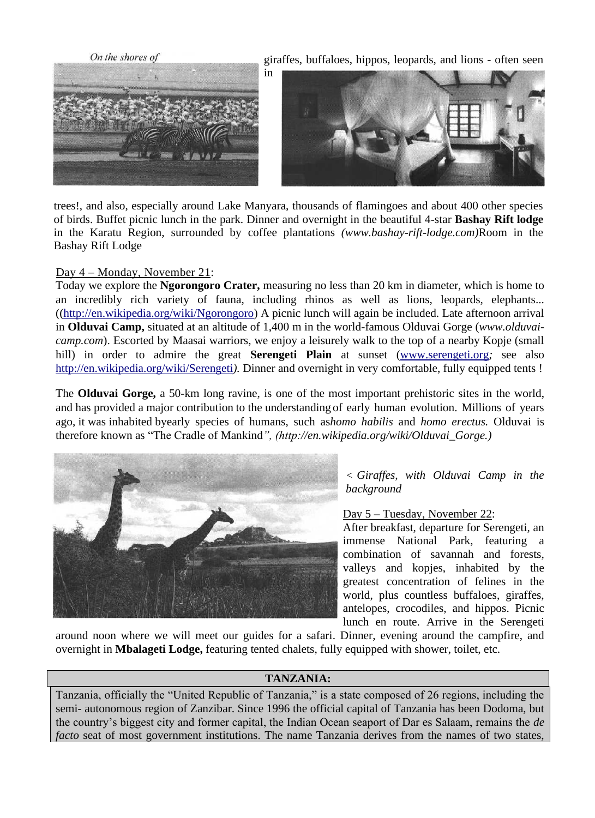

trees!, and also, especially around Lake Manyara, thousands of flamingoes and about 400 other species of birds. Buffet picnic lunch in the park. Dinner and overnight in the beautiful 4-star **Bashay Rift lodge**  in the Karatu Region, surrounded by coffee plantations *(www.bashay-rift-lodge.com)*Room in the Bashay Rift Lodge

### Day 4 – Monday, November 21:

Today we explore the **Ngorongoro Crater,** measuring no less than 20 km in diameter, which is home to an incredibly rich variety of fauna, including rhinos as well as lions, leopards, elephants... ([\(http://en.wikipedia.org/wiki/Ngorongoro\)](http://en.wikipedia.org/wiki/Ngorongoro) A picnic lunch will again be included. Late afternoon arrival in **Olduvai Camp,** situated at an altitude of 1,400 m in the world-famous Olduvai Gorge (*www.olduvaicamp.com*). Escorted by Maasai warriors, we enjoy a leisurely walk to the top of a nearby Kopje (small hill) in order to admire the great **Serengeti Plain** at sunset [\(www.serengeti.org](http://www.serengeti.org/)*;* see also <http://en.wikipedia.org/wiki/Serengeti>*).* Dinner and overnight in very comfortable, fully equipped tents !

The **Olduvai Gorge,** a 50-km long ravine, is one of the most important prehistoric sites in the world, and has provided a major contribution to the understanding of early human evolution. Millions of years ago, it was inhabited byearly species of humans, such as*homo habilis* and *homo erectus.* Olduvai is therefore known as "The Cradle of Mankind*", (http://en.wikipedia.org/wiki/Olduvai\_Gorge.)*



*< Giraffes, with Olduvai Camp in the background*

Day 5 – Tuesday, November 22:

After breakfast, departure for Serengeti, an immense National Park, featuring a combination of savannah and forests, valleys and kopjes, inhabited by the greatest concentration of felines in the world, plus countless buffaloes, giraffes, antelopes, crocodiles, and hippos. Picnic lunch en route. Arrive in the Serengeti

around noon where we will meet our guides for a safari. Dinner, evening around the campfire, and overnight in **Mbalageti Lodge,** featuring tented chalets, fully equipped with shower, toilet, etc.

### **TANZANIA:**

Tanzania, officially the "United Republic of Tanzania," is a state composed of 26 regions, including the semi- autonomous region of Zanzibar. Since 1996 the official capital of Tanzania has been Dodoma, but the country's biggest city and former capital, the Indian Ocean seaport of Dar es Salaam, remains the *de facto* seat of most government institutions. The name Tanzania derives from the names of two states,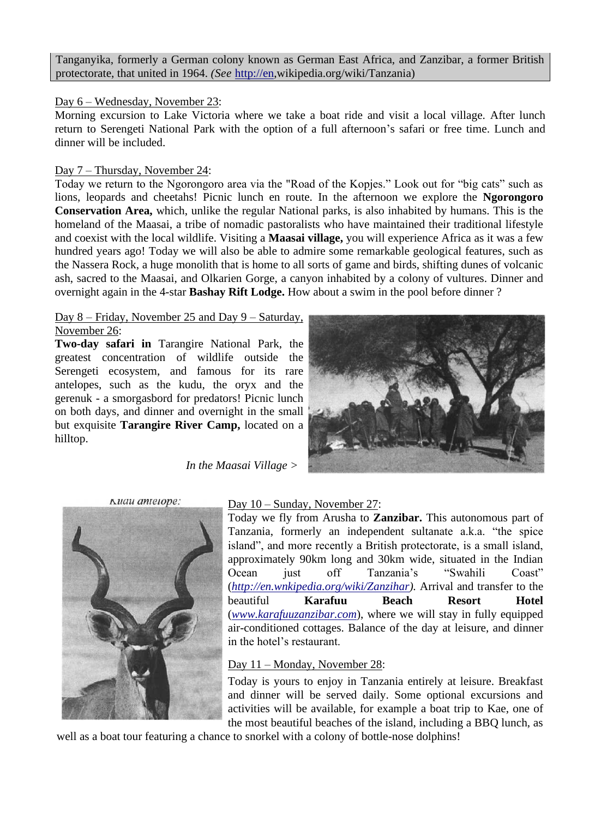Tanganyika, formerly a German colony known as German East Africa, and Zanzibar, a former British protectorate, that united in 1964. *(See* [http://en,](http://en/)wikipedia.org/wiki/Tanzania)

### Day 6 – Wednesday, November 23:

Morning excursion to Lake Victoria where we take a boat ride and visit a local village. After lunch return to Serengeti National Park with the option of a full afternoon's safari or free time. Lunch and dinner will be included.

### Day 7 – Thursday, November 24:

Today we return to the Ngorongoro area via the "Road of the Kopjes." Look out for "big cats" such as lions, leopards and cheetahs! Picnic lunch en route. In the afternoon we explore the **Ngorongoro Conservation Area,** which, unlike the regular National parks, is also inhabited by humans. This is the homeland of the Maasai, a tribe of nomadic pastoralists who have maintained their traditional lifestyle and coexist with the local wildlife. Visiting a **Maasai village,** you will experience Africa as it was a few hundred years ago! Today we will also be able to admire some remarkable geological features, such as the Nassera Rock, a huge monolith that is home to all sorts of game and birds, shifting dunes of volcanic ash, sacred to the Maasai, and Olkarien Gorge, a canyon inhabited by a colony of vultures. Dinner and overnight again in the 4-star **Bashay Rift Lodge.** How about a swim in the pool before dinner ?

#### Day 8 – Friday, November 25 and Day 9 – Saturday, November 26:

**Two-day safari in** Tarangire National Park, the greatest concentration of wildlife outside the Serengeti ecosystem, and famous for its rare antelopes, such as the kudu, the oryx and the gerenuk - a smorgasbord for predators! Picnic lunch on both days, and dinner and overnight in the small but exquisite **Tarangire River Camp,** located on a hilltop.



 *In the Maasai Village >*



### Day 10 – Sunday, November 27:

Today we fly from Arusha to **Zanzibar.** This autonomous part of Tanzania, formerly an independent sultanate a.k.a. "the spice island", and more recently a British protectorate, is a small island, approximately 90km long and 30km wide, situated in the Indian Ocean just off Tanzania's "Swahili Coast" (*[http://en.wnkipedia.org/wiki/Zanzihar\)](http://en.wnkipedia.org/wiki/Zanzihar).* Arrival and transfer to the beautiful **Karafuu Beach Resort Hotel**  (*[www.karafuuzanzibar.com](http://www.karafuuzanzibar.com/)*), where we will stay in fully equipped air-conditioned cottages. Balance of the day at leisure, and dinner in the hotel's restaurant.

## Day 11 – Monday, November 28:

Today is yours to enjoy in Tanzania entirely at leisure. Breakfast and dinner will be served daily. Some optional excursions and activities will be available, for example a boat trip to Kae, one of the most beautiful beaches of the island, including a BBQ lunch, as

well as a boat tour featuring a chance to snorkel with a colony of bottle-nose dolphins!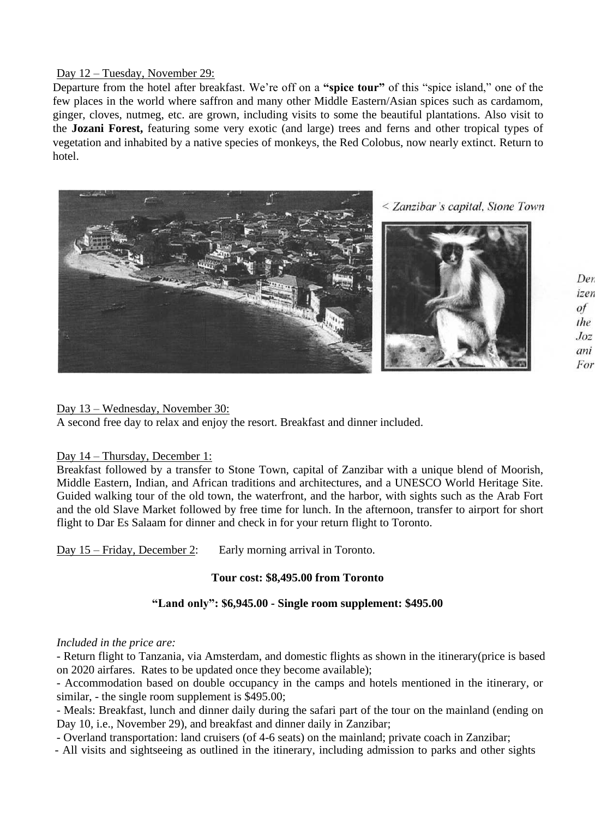### Day 12 – Tuesday, November 29:

Departure from the hotel after breakfast. We're off on a **"spice tour"** of this "spice island," one of the few places in the world where saffron and many other Middle Eastern/Asian spices such as cardamom, ginger, cloves, nutmeg, etc. are grown, including visits to some the beautiful plantations. Also visit to the **Jozani Forest,** featuring some very exotic (and large) trees and ferns and other tropical types of vegetation and inhabited by a native species of monkeys, the Red Colobus, now nearly extinct. Return to hotel.



Der izen of the  $Joz$ ani For

### Day 13 – Wednesday, November 30:

A second free day to relax and enjoy the resort. Breakfast and dinner included.

### Day 14 – Thursday, December 1:

Breakfast followed by a transfer to Stone Town, capital of Zanzibar with a unique blend of Moorish, Middle Eastern, Indian, and African traditions and architectures, and a UNESCO World Heritage Site. Guided walking tour of the old town, the waterfront, and the harbor, with sights such as the Arab Fort and the old Slave Market followed by free time for lunch. In the afternoon, transfer to airport for short flight to Dar Es Salaam for dinner and check in for your return flight to Toronto.

Day 15 – Friday, December 2: Early morning arrival in Toronto.

### **Tour cost: \$8,495.00 from Toronto**

### **"Land only": \$6,945.00 - Single room supplement: \$495.00**

### *Included in the price are:*

- Return flight to Tanzania, via Amsterdam, and domestic flights as shown in the itinerary(price is based on 2020 airfares. Rates to be updated once they become available);

- Accommodation based on double occupancy in the camps and hotels mentioned in the itinerary, or similar, - the single room supplement is \$495.00;

- Meals: Breakfast, lunch and dinner daily during the safari part of the tour on the mainland (ending on Day 10, i.e., November 29), and breakfast and dinner daily in Zanzibar;

- Overland transportation: land cruisers (of 4-6 seats) on the mainland; private coach in Zanzibar;

- All visits and sightseeing as outlined in the itinerary, including admission to parks and other sights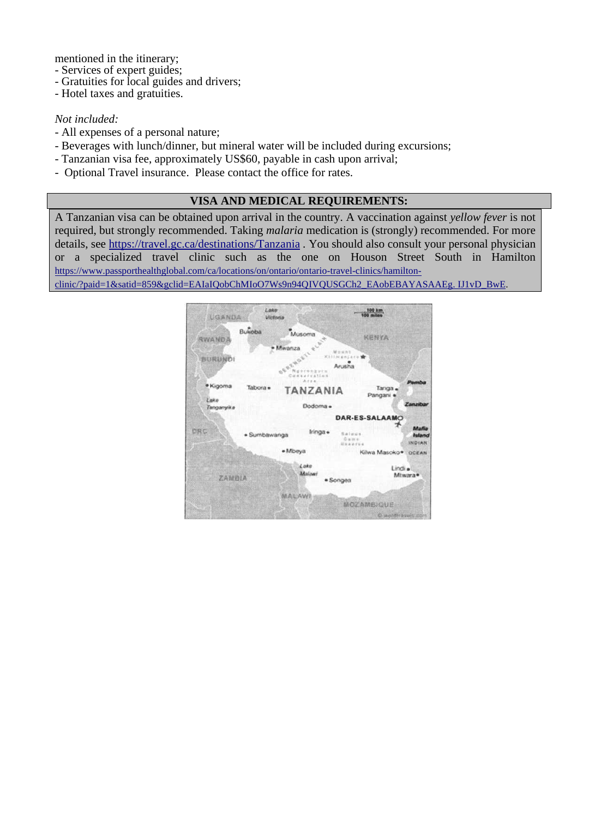mentioned in the itinerary;

- Services of expert guides;
- Gratuities for local guides and drivers;
- Hotel taxes and gratuities.

### *Not included:*

- All expenses of a personal nature;
- Beverages with lunch/dinner, but mineral water will be included during excursions;
- Tanzanian visa fee, approximately US\$60, payable in cash upon arrival;
- Optional Travel insurance. Please contact the office for rates.

### **VISA AND MEDICAL REQUIREMENTS:**

A Tanzanian visa can be obtained upon arrival in the country. A vaccination against *yellow fever* is not required, but strongly recommended. Taking *malaria* medication is (strongly) recommended. For more details, see <https://travel.gc.ca/destinations/Tanzania> *.* You should also consult your personal physician or a specialized travel clinic such as the one on Houson Street South in Hamilton [https://www.passporthealthglobal.com/ca/locations/on/ontario/ontario-travel-clinics/hamilton](https://www.passporthealthglobal.com/ca/locations/on/ontario/ontario-travel-clinics/hamilton-clinic/?paid=1&satid=859&gclid=EAIaIQobChMIoO7Ws9n94QIVQUSGCh2_EAobEBAYASAAEg.%20IJ1vD_BwE)[clinic/?paid=1&satid=859&gclid=EAIaIQobChMIoO7Ws9n94QIVQUSGCh2\\_EAobEBAYASAAEg. IJ1vD\\_BwE.](https://www.passporthealthglobal.com/ca/locations/on/ontario/ontario-travel-clinics/hamilton-clinic/?paid=1&satid=859&gclid=EAIaIQobChMIoO7Ws9n94QIVQUSGCh2_EAobEBAYASAAEg.%20IJ1vD_BwE)

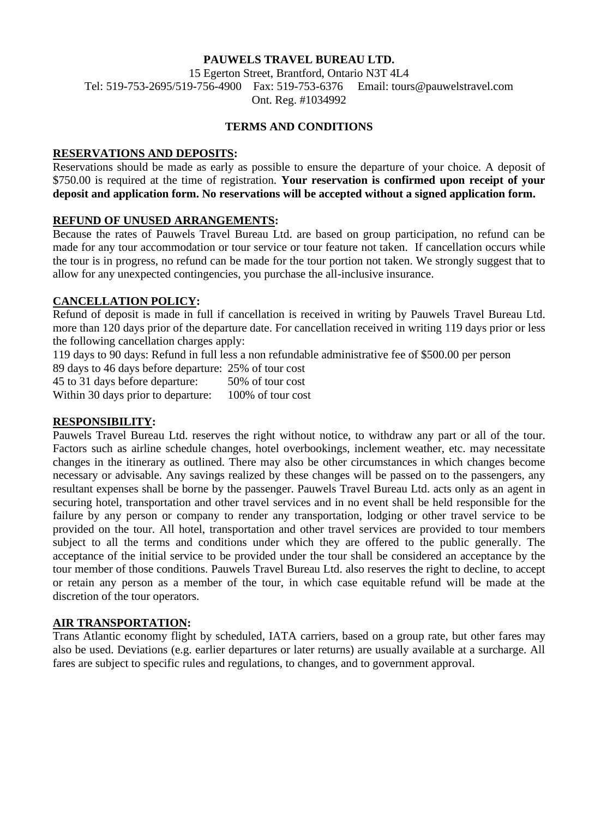### **PAUWELS TRAVEL BUREAU LTD.**

15 Egerton Street, Brantford, Ontario N3T 4L4 Tel: 519-753-2695/519-756-4900 Fax: 519-753-6376 Email: tours@pauwelstravel.com Ont. Reg. #1034992

#### **TERMS AND CONDITIONS**

### **RESERVATIONS AND DEPOSITS:**

Reservations should be made as early as possible to ensure the departure of your choice. A deposit of \$750.00 is required at the time of registration. **Your reservation is confirmed upon receipt of your deposit and application form. No reservations will be accepted without a signed application form.**

#### **REFUND OF UNUSED ARRANGEMENTS:**

Because the rates of Pauwels Travel Bureau Ltd. are based on group participation, no refund can be made for any tour accommodation or tour service or tour feature not taken. If cancellation occurs while the tour is in progress, no refund can be made for the tour portion not taken. We strongly suggest that to allow for any unexpected contingencies, you purchase the all-inclusive insurance.

### **CANCELLATION POLICY:**

Refund of deposit is made in full if cancellation is received in writing by Pauwels Travel Bureau Ltd. more than 120 days prior of the departure date. For cancellation received in writing 119 days prior or less the following cancellation charges apply:

119 days to 90 days: Refund in full less a non refundable administrative fee of \$500.00 per person

89 days to 46 days before departure: 25% of tour cost 45 to 31 days before departure: 50% of tour cost Within 30 days prior to departure: 100% of tour cost

### **RESPONSIBILITY:**

Pauwels Travel Bureau Ltd. reserves the right without notice, to withdraw any part or all of the tour. Factors such as airline schedule changes, hotel overbookings, inclement weather, etc. may necessitate changes in the itinerary as outlined. There may also be other circumstances in which changes become necessary or advisable. Any savings realized by these changes will be passed on to the passengers, any resultant expenses shall be borne by the passenger. Pauwels Travel Bureau Ltd. acts only as an agent in securing hotel, transportation and other travel services and in no event shall be held responsible for the failure by any person or company to render any transportation, lodging or other travel service to be provided on the tour. All hotel, transportation and other travel services are provided to tour members subject to all the terms and conditions under which they are offered to the public generally. The acceptance of the initial service to be provided under the tour shall be considered an acceptance by the tour member of those conditions. Pauwels Travel Bureau Ltd. also reserves the right to decline, to accept or retain any person as a member of the tour, in which case equitable refund will be made at the discretion of the tour operators.

### **AIR TRANSPORTATION:**

Trans Atlantic economy flight by scheduled, IATA carriers, based on a group rate, but other fares may also be used. Deviations (e.g. earlier departures or later returns) are usually available at a surcharge. All fares are subject to specific rules and regulations, to changes, and to government approval.